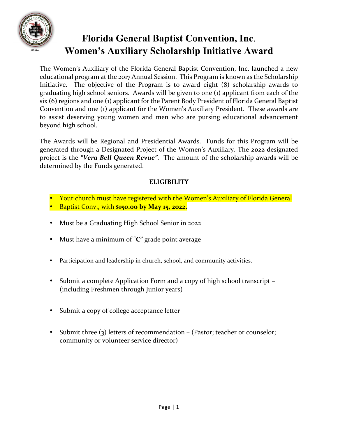

The Women's Auxiliary of the Florida General Baptist Convention, Inc. launched a new educational program at the 2017 Annual Session. This Program is known as the Scholarship Initiative. The objective of the Program is to award eight (8) scholarship awards to graduating high school seniors. Awards will be given to one (1) applicant from each of the six (6) regions and one (1) applicant for the Parent Body President of Florida General Baptist Convention and one (1) applicant for the Women's Auxiliary President. These awards are to assist deserving young women and men who are pursing educational advancement beyond high school.

The Awards will be Regional and Presidential Awards. Funds for this Program will be generated through a Designated Project of the Women's Auxiliary. The **2022** designated project is the *"Vera Bell Queen Revue"*. The amount of the scholarship awards will be determined by the Funds generated.

#### **ELIGIBILITY**

- Your church must have registered with the Women's Auxiliary of Florida General
- Baptist Conv., with **\$150.00 by May 15, 2022.**
- Must be a Graduating High School Senior in 2022
- Must have a minimum of "**C"** grade point average
- Participation and leadership in church, school, and community activities.
- Submit a complete Application Form and a copy of high school transcript (including Freshmen through Junior years)
- Submit a copy of college acceptance letter
- Submit three (3) letters of recommendation (Pastor; teacher or counselor; community or volunteer service director)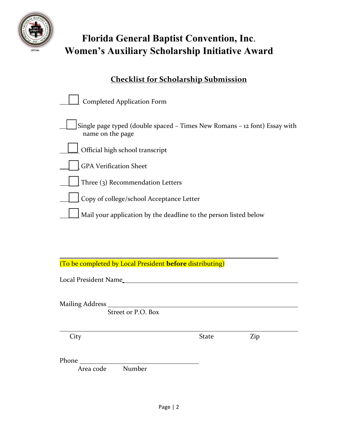

### **Checklist for Scholarship Submission**

| <b>Completed Application Form</b>                                                             |
|-----------------------------------------------------------------------------------------------|
| Single page typed (double spaced - Times New Romans - 12 font) Essay with<br>name on the page |
| Official high school transcript                                                               |
| <b>GPA Verification Sheet</b>                                                                 |
| Three (3) Recommendation Letters                                                              |
| Copy of college/school Acceptance Letter                                                      |
| Mail your application by the deadline to the person listed below                              |

(To be completed by Local President **before** distributing)

Local President Name

Mailing Address

Street or P.O. Box

City State Zip

Phone

Area code Number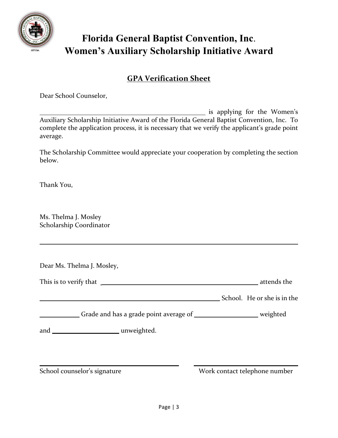

### **GPA Verification Sheet**

Dear School Counselor,

**is applying for the Women's** Auxiliary Scholarship Initiative Award of the Florida General Baptist Convention, Inc. To complete the application process, it is necessary that we verify the applicant's grade point average.

The Scholarship Committee would appreciate your cooperation by completing the section below.

Thank You,

Ms. Thelma J. Mosley Scholarship Coordinator

Dear Ms. Thelma J. Mosley,

This is to verify that **quality** that  $\sim$ 

School. He or she is in the

Grade and has a grade point average of \_\_\_\_\_\_\_\_\_\_\_\_\_\_\_\_\_\_\_\_ weighted

and unweighted.

School counselor's signature Work contact telephone number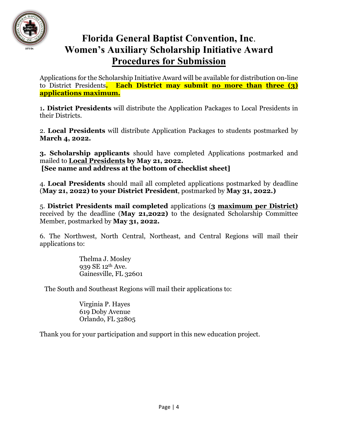

## **Florida General Baptist Convention, Inc**. **Women's Auxiliary Scholarship Initiative Award Procedures for Submission**

Applications for the Scholarship Initiative Award will be available for distribution 0n-line to District Presidents**. Each District may submit no more than three (3) applications maximum.**

1**. District Presidents** will distribute the Application Packages to Local Presidents in their Districts.

2. **Local Presidents** will distribute Application Packages to students postmarked by **March 4, 2022.**

**3. Scholarship applicants** should have completed Applications postmarked and mailed to **Local Presidents by May 21, 2022. [See name and address at the bottom of checklist sheet]**

4. **Local Presidents** should mail all completed applications postmarked by deadline (**May 21, 2022) to your District President**, postmarked by **May 31, 2022.)**

5. **District Presidents mail completed** applications (**3 maximum per District)**  received by the deadline (**May 21,2022)** to the designated Scholarship Committee Member, postmarked by **May 31, 2022.**

6. The Northwest, North Central, Northeast, and Central Regions will mail their applications to:

> Thelma J. Mosley 939 SE 12th Ave. Gainesville, FL 32601

The South and Southeast Regions will mail their applications to:

Virginia P. Hayes 619 Doby Avenue Orlando, FL 32805

Thank you for your participation and support in this new education project.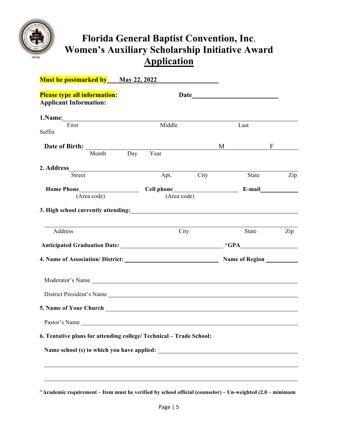

| <b>Must be postmarked by May 22, 2022</b>                                                                                                                                                                                                                                                                                                                                                     |                |           |                 |              |
|-----------------------------------------------------------------------------------------------------------------------------------------------------------------------------------------------------------------------------------------------------------------------------------------------------------------------------------------------------------------------------------------------|----------------|-----------|-----------------|--------------|
| <b>Please type all information:</b><br><b>Applicant Information:</b>                                                                                                                                                                                                                                                                                                                          |                |           |                 |              |
| 1. Name <sub>1</sub> and 1. Name <sub>1</sub> and 1. Name <sub>1</sub> and 1. Name <sub>1</sub> and 1. Name <sub>1</sub> and 1. Name <sub>1</sub> and 1. Name <sub>1</sub> and 1. Name <sub>1</sub> and 1. Name <sub>1</sub> and 1. Name <sub>1</sub> and 1. Name <sub>1</sub> and 1. Name <sub>1</sub> and 1. Name <sub>1</sub> and 1. Name <sub>1</sub> and 1. Name <sub>1</sub> a<br>First | Middle         |           | Last            |              |
| Suffix                                                                                                                                                                                                                                                                                                                                                                                        |                |           |                 |              |
|                                                                                                                                                                                                                                                                                                                                                                                               |                |           | $M \sim$        | $\mathbf{F}$ |
|                                                                                                                                                                                                                                                                                                                                                                                               | Month Day Year |           |                 |              |
|                                                                                                                                                                                                                                                                                                                                                                                               |                |           |                 |              |
| <b>Street</b>                                                                                                                                                                                                                                                                                                                                                                                 |                | Apt. City | State           | Zip          |
|                                                                                                                                                                                                                                                                                                                                                                                               |                |           |                 |              |
| (Area code)                                                                                                                                                                                                                                                                                                                                                                                   | (Area code)    |           |                 |              |
| Address                                                                                                                                                                                                                                                                                                                                                                                       |                | City      | State<br>$*GPA$ | Zip          |
|                                                                                                                                                                                                                                                                                                                                                                                               |                |           |                 |              |
| Moderator's Name                                                                                                                                                                                                                                                                                                                                                                              |                |           |                 |              |
| District President's Name                                                                                                                                                                                                                                                                                                                                                                     |                |           |                 |              |
|                                                                                                                                                                                                                                                                                                                                                                                               |                |           |                 |              |
| Pastor's Name                                                                                                                                                                                                                                                                                                                                                                                 |                |           |                 |              |
| 6. Tentative plans for attending college/ Technical - Trade School:                                                                                                                                                                                                                                                                                                                           |                |           |                 |              |
|                                                                                                                                                                                                                                                                                                                                                                                               |                |           |                 |              |
|                                                                                                                                                                                                                                                                                                                                                                                               |                |           |                 |              |
|                                                                                                                                                                                                                                                                                                                                                                                               |                |           |                 |              |
|                                                                                                                                                                                                                                                                                                                                                                                               |                |           |                 |              |

\***Academic requirement – Item must be verified by school official (counselor) – Un-weighted (2.0 – minimum**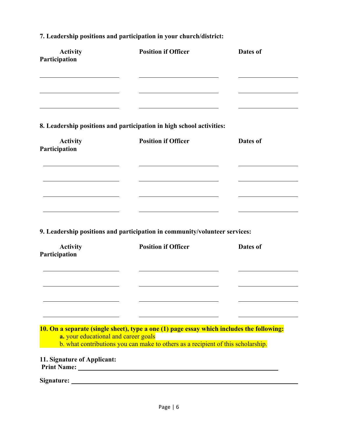| <b>Activity</b><br>Participation     | <b>Position if Officer</b>                                                                                                                                                    | Dates of |
|--------------------------------------|-------------------------------------------------------------------------------------------------------------------------------------------------------------------------------|----------|
|                                      |                                                                                                                                                                               |          |
|                                      | 8. Leadership positions and participation in high school activities:                                                                                                          |          |
| <b>Activity</b><br>Participation     | <b>Position if Officer</b>                                                                                                                                                    | Dates of |
|                                      |                                                                                                                                                                               |          |
|                                      |                                                                                                                                                                               |          |
|                                      | 9. Leadership positions and participation in community/volunteer services:                                                                                                    |          |
| <b>Activity</b><br>Participation     | <b>Position if Officer</b>                                                                                                                                                    | Dates of |
|                                      |                                                                                                                                                                               |          |
|                                      |                                                                                                                                                                               |          |
| a. your educational and career goals | 10. On a separate (single sheet), type a one (1) page essay which includes the following:<br>b. what contributions you can make to others as a recipient of this scholarship. |          |
| 11. Signature of Applicant:          |                                                                                                                                                                               |          |
|                                      |                                                                                                                                                                               |          |

### **7. Leadership positions and participation in your church/district:**